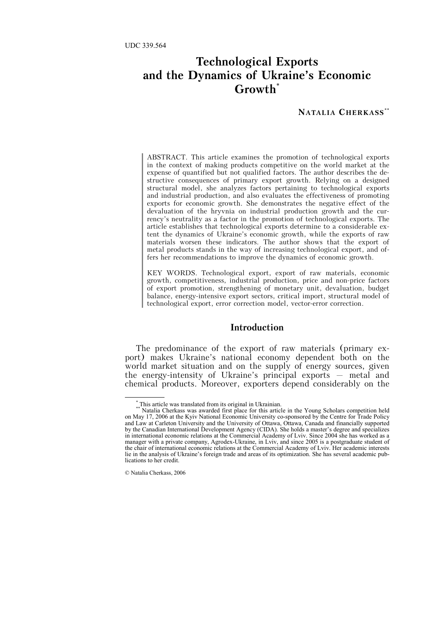# **Technological Exports and the Dynamics of Ukraine's Economic Growth**\*

### **NATALIA CHERKASS**\*\*

ABSTRACT. This article examines the promotion of technological exports in the context of making products competitive on the world market at the expense of quantified but not qualified factors. The author describes the destructive consequences of primary export growth. Relying on a designed structural model, she analyzes factors pertaining to technological exports and industrial production, and also evaluates the effectiveness of promoting exports for economic growth. She demonstrates the negative effect of the devaluation of the hryvnia on industrial production growth and the currency's neutrality as a factor in the promotion of technological exports. The article establishes that technological exports determine to a considerable extent the dynamics of Ukraine's economic growth, while the exports of raw materials worsen these indicators. The author shows that the export of metal products stands in the way of increasing technological export, and offers her recommendations to improve the dynamics of economic growth.

KEY WORDS. Technological export, export of raw materials, economic growth, competitiveness, industrial production, price and non-price factors of export promotion, strengthening of monetary unit, devaluation, budget balance, energy-intensive export sectors, critical import, structural model of technological export, error correction model, vector-error correction.

#### **Introduction**

The predominance of the export of raw materials (primary export) makes Ukraine's national economy dependent both on the world market situation and on the supply of energy sources, given the energy-intensity of Ukraine's principal exports – metal and chemical products. Moreover, exporters depend considerably on the

 <sup>\*</sup> This article was translated from its original in Ukrainian.

Natalia Cherkass was awarded first place for this article in the Young Scholars competition held on May 17, 2006 at the Kyiv National Economic University co-sponsored by the Centre for Trade Policy and Law at Carleton University and the University of Ottawa, Ottawa, Canada and financially supported by the Canadian International Development Agency (CIDA). She holds a master's degree and specializes in international economic relations at the Commercial Academy of Lviv. Since 2004 she has worked as a manager with a private company, Agrodex-Ukraine, in Lviv, and since 2005 is a postgraduate student of the chair of international economic relations at the Commercial Academy of Lviv. Her academic interests lie in the analysis of Ukraine's foreign trade and areas of its optimization. She has several academic publications to her credit.

<sup>©</sup> Natalia Cherkass, 2006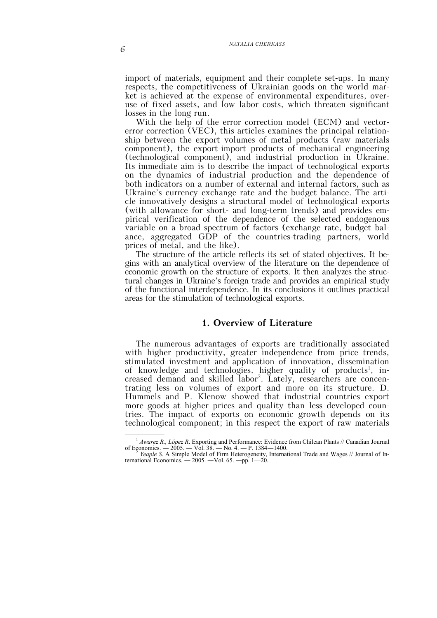import of materials, equipment and their complete set-ups. In many respects, the competitiveness of Ukrainian goods on the world market is achieved at the expense of environmental expenditures, overuse of fixed assets, and low labor costs, which threaten significant losses in the long run.

With the help of the error correction model (ECM) and vectorerror correction (VEC), this articles examines the principal relationship between the export volumes of metal products (raw materials component), the export-import products of mechanical engineering (technological component), and industrial production in Ukraine. Its immediate aim is to describe the impact of technological exports on the dynamics of industrial production and the dependence of both indicators on a number of external and internal factors, such as Ukraine's currency exchange rate and the budget balance. The article innovatively designs a structural model of technological exports (with allowance for short- and long-term trends) and provides empirical verification of the dependence of the selected endogenous variable on a broad spectrum of factors (exchange rate, budget balance, aggregated GDP of the countries-trading partners, world prices of metal, and the like).

The structure of the article reflects its set of stated objectives. It begins with an analytical overview of the literature on the dependence of economic growth on the structure of exports. It then analyzes the structural changes in Ukraine's foreign trade and provides an empirical study of the functional interdependence. In its conclusions it outlines practical areas for the stimulation of technological exports.

# **1. Overview of Literature**

The numerous advantages of exports are traditionally associated with higher productivity, greater independence from price trends, stimulated investment and application of innovation, dissemination of knowledge and technologies, higher quality of products<sup>1</sup>, increased demand and skilled labor2 . Lately, researchers are concentrating less on volumes of export and more on its structure. D. Hummels and P. Klenow showed that industrial countries export more goods at higher prices and quality than less developed countries. The impact of exports on economic growth depends on its technological component; in this respect the export of raw materials

 <sup>1</sup> *Awarez R., López R*. Exporting and Performance: Evidence from Chilean Plants // Canadian Journal of Economics. ― 2005. ― Vol. 38. ― No. 4. ― P. 1384―1400. <sup>2</sup> *Yeaple S*. A Simple Model of Firm Heterogeneity, International Trade and Wages // Journal of In-

ternational Economics. —  $2005.$  —Vol. 65. —pp. 1— $20.$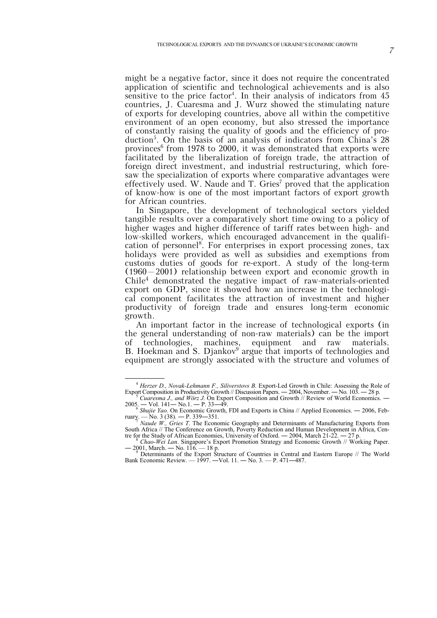might be a negative factor, since it does not require the concentrated application of scientific and technological achievements and is also sensitive to the price factor<sup>4</sup>. In their analysis of indicators from 45 countries, J. Cuaresma and J. Wurz showed the stimulating nature of exports for developing countries, above all within the competitive environment of an open economy, but also stressed the importance of constantly raising the quality of goods and the efficiency of production<sup>5</sup>. On the basis of an analysis of indicators from China's 28 provinces<sup>6</sup> from 1978 to 2000, it was demonstrated that exports were facilitated by the liberalization of foreign trade, the attraction of foreign direct investment, and industrial restructuring, which foresaw the specialization of exports where comparative advantages were effectively used. W. Naude and T. Gries<sup>7</sup> proved that the application of know-how is one of the most important factors of export growth for African countries.

In Singapore, the development of technological sectors yielded tangible results over a comparatively short time owing to a policy of higher wages and higher difference of tariff rates between high- and low-skilled workers, which encouraged advancement in the qualification of personnel<sup>8</sup>. For enterprises in export processing zones, tax holidays were provided as well as subsidies and exemptions from customs duties of goods for re-export. A study of the long-term (1960–2001) relationship between export and economic growth in Chile4 demonstrated the negative impact of raw-materials-oriented export on GDP, since it showed how an increase in the technological component facilitates the attraction of investment and higher productivity of foreign trade and ensures long-term economic growth.

An important factor in the increase of technological exports (in the general understanding of non-raw materials) can be the import of technologies, machines, equipment and raw materials. B. Hoekman and S. Djankov<sup>9</sup> argue that imports of technologies and equipment are strongly associated with the structure and volumes of

 <sup>4</sup> *Herzer D., Novak-Lehmann F., Siliverstovs B*. Export-Led Growth in Chile: Assessing the Role of Export Composition in Productivity Growth // Discussion Papers. — 2004, November. — No. 103. — 28 p. *Cuaresma J., and Wörz J.* On Export Composition and Growth // Review of World Economics. —

<sup>2005.</sup> ― Vol. 141― No.1. ― P. 33―49. <sup>6</sup> *Shujie Yao*. On Economic Growth, FDI and Exports in China // Applied Economics. ― 2006, Feb-

ruary. — No. 3 (38). — P. 339—351.<br>*Naude W., Gries T.* The Economic Geography and Determinants of Manufacturing Exports from

South Africa // The Conference on Growth, Poverty Reduction and Human Development in Africa, Cen-

tre for the Study of African Economies, University of Oxford. ― 2004, March 21-22. ― 27 p. <sup>8</sup> *Chao-Wei Lan*. Singapore's Export Promotion Strategy and Economic Growth // Working Paper. — 2001, March. — No. 116. — 18 p.<br>9 Determinants of the Export Structure of Countries in Central and Eastern Europe // The World

Bank Economic Review. — 1997. ―Vol. 11. ― No. 3. — P. 471―487.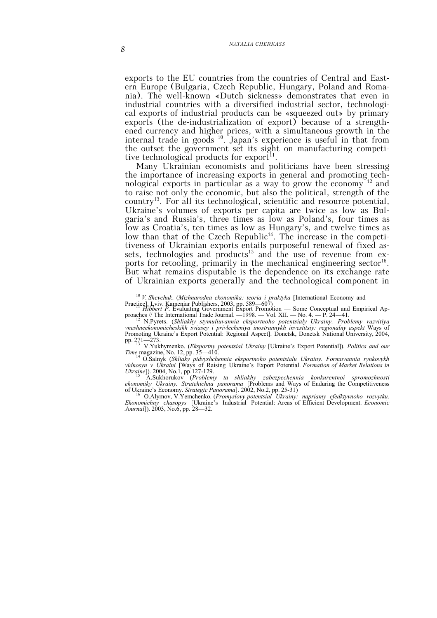exports to the EU countries from the countries of Central and Eastern Europe (Bulgaria, Czech Republic, Hungary, Poland and Romania). The well-known «Dutch sickness» demonstrates that even in industrial countries with a diversified industrial sector, technological exports of industrial products can be «squeezed out» by primary exports (the de-industrialization of export) because of a strengthened currency and higher prices, with a simultaneous growth in the internal trade in goods <sup>10</sup>. Japan's experience is useful in that from the outset the government set its sight on manufacturing competitive technological products for export<sup>11</sup>.

Many Ukrainian economists and politicians have been stressing the importance of increasing exports in general and promoting technological exports in particular as a way to grow the economy<sup>12</sup> and to raise not only the economic, but also the political, strength of the country13. For all its technological, scientific and resource potential, Ukraine's volumes of exports per capita are twice as low as Bulgaria's and Russia's, three times as low as Poland's, four times as low as Croatia's, ten times as low as Hungary's, and twelve times as low than that of the Czech Republic<sup>14</sup>. The increase in the competitiveness of Ukrainian exports entails purposeful renewal of fixed assets, technologies and products<sup>15</sup> and the use of revenue from exports for retooling, primarily in the mechanical engineering sector<sup>16</sup>. But what remains disputable is the dependence on its exchange rate of Ukrainian exports generally and the technological component in

 <sup>10</sup> *V. Shevchuk*. (*Mizhnarodna ekonomika: teoria i praktyka* [International Economy and

Practice]. Lviv. Kameniar Publishers, 2003, pp. 589—607)<br>*Hibbert P*. Evaluating Government Export Promotion — Some Conceptual and Empirical Approaches // The International Trade Journal. ―1998. ― Vol. XII. ― No. 4. ― P. 24―41. <sup>12</sup> N.Pyrets. (*Shliakhy stymuliuvannia eksportnoho potentsialy Ukrainy. Problemy razvitiya* 

*vn. 1121* 1121<br>
<sup>12</sup> N.Pyrets. (Shliakhy stymuliuvannia eksportnoho potentsialy Ukrainy. Problemy razvitiya<br>
vneshneekonomicheskikh sviasey i privlecheniya inostrannykh investitsiy: regionalny aspekt Ways of Promoting Ukraine's Export Potential: Regional Aspect]. Donetsk, Donetsk National University, 2004,

pp. 271—273. <sup>13</sup> V.Yukhymenko. (*Eksportny potentsial Ukrainy* [Ukraine's Export Potential]). *Politics and our Time* magazine, No. 12, pp. 35—410.

<sup>14</sup> O.Salnyk (*Shliaky pidvyshchennia eksportnoho potentsialu Ukrainy. Formuvannia rynkovykh*  vidnosyn v Ukraini [Ways of Raising Ukraine's Export Potential. *Formation of Market Relations in Ukraine*]). 2004, No.1, pp.127-129.

*Ukraine*]). 2004, No.1, pp.127-129. <sup>15</sup> A.Sukhorukov (*Problemy ta shliakhy zabezpechennia konkurentnoi spromozhnosti ekonomiky Ukrainy. Stratehichna panorama* [Problems and Ways of Enduring the Competitiveness of Ukraine's Economy. *Strategic Panorama*]. 2002, No.2, pp. 25-31) <sup>16</sup>

O.Alymov, V.Yemchenko. (*Promyslovy potentsial Ukrainy: napriamy efedktyvnoho rozvytku. Ekonomichny chasopys* [Ukraine's Industrial Potential: Areas of Efficient Development. *Economic Journal*]). 2003, No.6, pp. 28—32.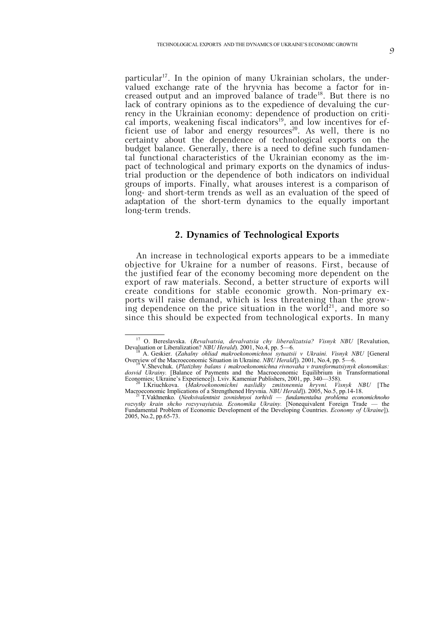particular<sup>17</sup>. In the opinion of many Ukrainian scholars, the undervalued exchange rate of the hryvnia has become a factor for increased output and an improved balance of trade18. But there is no lack of contrary opinions as to the expedience of devaluing the currency in the Ukrainian economy: dependence of production on critical imports, weakening fiscal indicators<sup>19</sup>, and low incentives for efficient use of labor and energy resources<sup>20</sup>. As well, there is no certainty about the dependence of technological exports on the budget balance. Generally, there is a need to define such fundamental functional characteristics of the Ukrainian economy as the impact of technological and primary exports on the dynamics of industrial production or the dependence of both indicators on individual groups of imports. Finally, what arouses interest is a comparison of long- and short-term trends as well as an evaluation of the speed of

### **2. Dynamics of Technological Exports**

adaptation of the short-term dynamics to the equally important

long-term trends.

An increase in technological exports appears to be a immediate objective for Ukraine for a number of reasons. First, because of the justified fear of the economy becoming more dependent on the export of raw materials. Second, a better structure of exports will create conditions for stable economic growth. Non-primary exports will raise demand, which is less threatening than the growing dependence on the price situation in the world<sup>21</sup>, and more so since this should be expected from technological exports. In many

<sup>&</sup>lt;sup>17</sup> O. Bereslavska. (*Revalvatsia, devalvatsia chy liberalizatsia? Visnyk NBU* [Revalution, Devalution, Devalution or Liberalization? *NBU Herald*). 2001, No.4, pp. 5—6. Devaluation or Liberalization? *NBU Herald*). 2001, No.4, pp. 5—6. <sup>18</sup> A. Geskier. (*Zahalny ohliad makroekonomichnoi sytuatsii v Ukraini. Visnyk NBU* [General

Overview of the Macroeconomic Situation in Ukraine. *NBU Herald*]). 2001, No.4, pp. 5—6. <sup>19</sup> V.Shevchuk. (*Platizhny balans i makroekonomichna rivnovaha v transformatsiynyk ekonomikas:* 

*dosvid Ukrainy.* [Balance of Payments and the Macroeconomic Equilibrium in Transformational Economies; Ukraine's Experience]). Lviv. Kameniar Publishers, 2001, pp. 340—358). <sup>20</sup> I.Kriuchkova. (*Makroekonomichni naslidky zmitsnennia hryvni. Visnyk NBU* [The

Macroeconomic Implications of a Strengthened Hryvnia. *NBU Herald*]). 2005, No.5, pp.14-18. <sup>21</sup> T.Vakhnenko. (*Neekvivalentnist zovnishnyoi torhivli — fundamentalna problema economichnoho*

*rozvytky krain shcho rozvyvayiutsia. Economika Ukrainy.* [Nonequivalent Foreign Trade — the Fundamental Problem of Economic Development of the Developing Countries. *Economy of Ukraine*]). 2005, No.2, pp.65-73.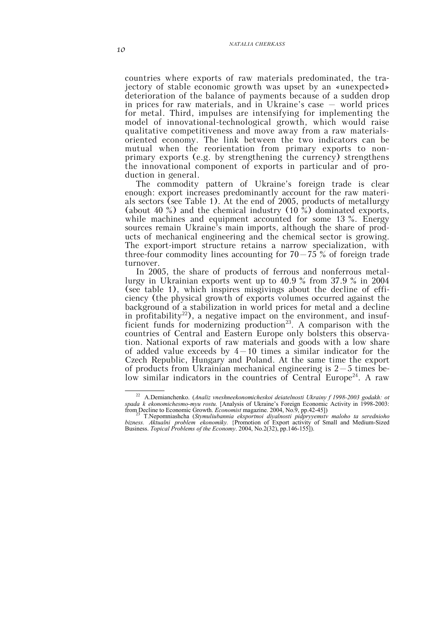countries where exports of raw materials predominated, the trajectory of stable economic growth was upset by an «unexpected» deterioration of the balance of payments because of a sudden drop in prices for raw materials, and in Ukraine's case  $-$  world prices for metal. Third, impulses are intensifying for implementing the model of innovational-technological growth, which would raise qualitative competitiveness and move away from a raw materialsoriented economy. The link between the two indicators can be mutual when the reorientation from primary exports to nonprimary exports (e.g. by strengthening the currency) strengthens the innovational component of exports in particular and of production in general.

The commodity pattern of Ukraine's foreign trade is clear enough: export increases predominantly account for the raw materials sectors (see Table 1). At the end of 2005, products of metallurgy (about 40 %) and the chemical industry (10 %) dominated exports, while machines and equipment accounted for some 13 %. Energy sources remain Ukraine's main imports, although the share of products of mechanical engineering and the chemical sector is growing. The export-import structure retains a narrow specialization, with three-four commodity lines accounting for  $70-75\%$  of foreign trade turnover.

In 2005, the share of products of ferrous and nonferrous metallurgy in Ukrainian exports went up to 40.9 % from 37.9 % in 2004 (see table 1), which inspires misgivings about the decline of efficiency (the physical growth of exports volumes occurred against the background of a stabilization in world prices for metal and a decline in profitability<sup>22</sup>), a negative impact on the environment, and insufficient funds for modernizing production<sup>23</sup>. A comparison with the countries of Central and Eastern Europe only bolsters this observation. National exports of raw materials and goods with a low share of added value exceeds by  $4-10$  times a similar indicator for the Czech Republic, Hungary and Poland. At the same time the export of products from Ukrainian mechanical engineering is  $2-5$  times below similar indicators in the countries of Central Europe<sup>24</sup>. A raw

 <sup>22</sup> A.Demianchenko. (*Analiz vneshneekonomicheskoi deiatelnosti Ukrainy f 1998-2003 godakh: ot spada k ekonomichesmo-myu rostu.* [Analysis of Ukraine's Foreign Economic Activity in 1998-2003: from Decline to Economic Growth. *Economist* magazine. 2004, No.9, pp.42-45]) from Decline to Economic Growth. *Economist* magazine. 2004, No.9, pp.42-45]) <sup>23</sup> T.Nepomniashcha (*Stymuliubannia eksportnoi diyalnosti pidpryyemstv maloho ta serednioho* 

*bizness. Aktualni problem ekonomiky.* {Promotion of Export activity of Small and Medium-Sized Business. *Topical Problems of the Economy*. 2004, No.2(32), pp.146-155]).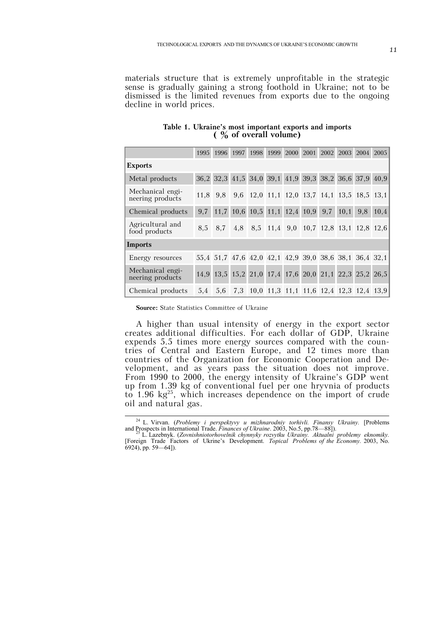materials structure that is extremely unprofitable in the strategic sense is gradually gaining a strong foothold in Ukraine; not to be dismissed is the limited revenues from exports due to the ongoing decline in world prices.

|                                      | 1995     | 1996    | 1997 | 1998 | 1999 | 2000                                                   | 2001 | 2002 |      | 2003 2004 | 2005 |
|--------------------------------------|----------|---------|------|------|------|--------------------------------------------------------|------|------|------|-----------|------|
| <b>Exports</b>                       |          |         |      |      |      |                                                        |      |      |      |           |      |
| Metal products                       |          |         |      |      |      | 36,2 32,3 41,5 34,0 39,1 41,9 39,3 38,2 36,6 37,9 40,9 |      |      |      |           |      |
| Mechanical engi-<br>neering products | 11.8 9.8 |         |      |      |      | 9,6 12,0 11,1 12,0 13,7 14,1 13,5 18,5 13,1            |      |      |      |           |      |
| Chemical products                    |          |         |      |      |      | 9,7 11,7 10,6 10,5 11,1 12,4 10,9                      |      | 9,7  | 10,1 | 9,8       | 10,4 |
| Agricultural and<br>food products    |          | 8.5 8.7 | 4,8  |      |      | 8,5 11,4 9,0 10,7 12,8 13,1 12,8 12,6                  |      |      |      |           |      |
| Imports                              |          |         |      |      |      |                                                        |      |      |      |           |      |
| Energy resources                     |          |         |      |      |      | 55,4 51,7 47,6 42,0 42,1 42,9 39,0 38,6 38,1 36,4 32,1 |      |      |      |           |      |
| Mechanical engi-<br>neering products |          |         |      |      |      | 14,9 13,5 15,2 21,0 17,4 17,6 20,0 21,1 22,3 25,2 26,5 |      |      |      |           |      |
| Chemical products                    | 5.4      | 5.6     | 7.3  |      |      | 10,0 11,3 11,1 11,6 12,4 12,3 12,4 13,9                |      |      |      |           |      |

**Table 1. Ukraine's most important exports and imports ( % of overall volume)**

**Source:** State Statistics Committee of Ukraine

A higher than usual intensity of energy in the export sector creates additional difficulties. For each dollar of GDP, Ukraine expends 5.5 times more energy sources compared with the countries of Central and Eastern Europe, and 12 times more than countries of the Organization for Economic Cooperation and Development, and as years pass the situation does not improve. From 1990 to 2000, the energy intensity of Ukraine's GDP went up from 1.39 kg of conventional fuel per one hryvnia of products to 1.96  $kg^{25}$ , which increases dependence on the import of crude oil and natural gas.

 <sup>24</sup> L. Virvan. (*Problemy i perspektyvy u mizhnarodniy torhivli. Finansy Ukrainy.* [Problems and Prospects in International Trade. *Finances of Ukraine*. 2003, No.5, pp.78—88]). <sup>25</sup> L. Lazebnyk. (*Zovnishniotorhovelnik chynnyky rozvytku Ukrainy. Aktualni problemy eknomiky.*

<sup>[</sup>Foreign Trade Factors of Ukrine's Development. *Topical Problems of the Economy.* 2003, No. 6924), pp. 59—64]).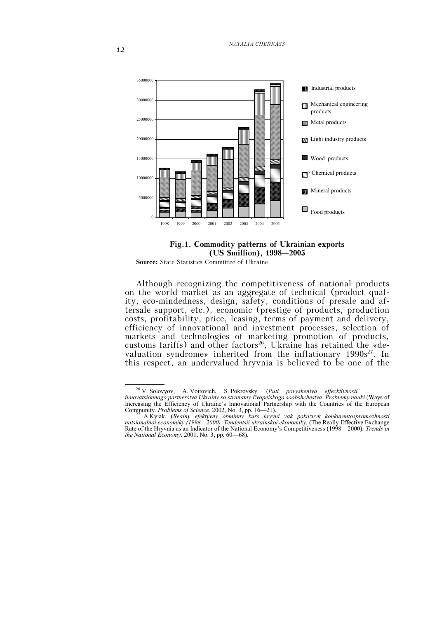

#### **Fig.1. Commodity patterns of Ukrainian exports (US \$million), 1998–2005**

**Source:** State Statistics Committee of Ukraine

Although recognizing the competitiveness of national products on the world market as an aggregate of technical (product quality, eco-mindedness, design, safety, conditions of presale and aftersale support, etc.), economic (prestige of products, production costs, profitability, price, leasing, terms of payment and delivery, efficiency of innovational and investment processes, selection of markets and technologies of marketing promotion of products, customs tariffs) and other factors<sup>26</sup>, Ukraine has retained the «devaluation syndrome» inherited from the inflationary 1990s<sup>27</sup>. In this respect, an undervalued hryvnia is believed to be one of the

26 V. Solovyov, A. Voitovich, S. Pokrovsky. (*Puti povysheniya effecktivnosti*

*innovatsionnogo partnerstva Ukrainy so stranamy Evopeiskogo soobshchestva. Problemy nauki* (Ways of Increasing the Efficiency of Ukraine's Innovational Partnership with the Countries of the European Community. *Problems of Science.* 2002, No. 3, pp. 16—21). <sup>27</sup> A.Kyiak. (*Realny efektyvny obminny kurs hryvni yak pokaznyk konkurentospromozhnosti*

*natsionalnoi economiky (1998—2000). Tendentsii ukrainskoi ekonomiky.* (The Really Effective Exchange Rate of the Hryvnia as an Indicator of the National Economy's Competitiveness (1998—2000). *Trends in the National Economy*. 2001, No. 3, pp. 60—68).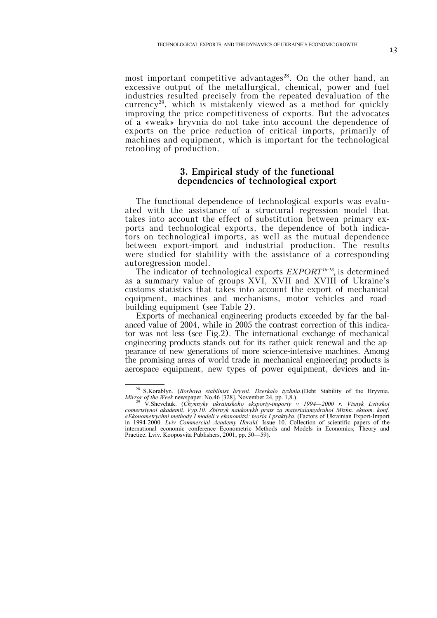most important competitive advantages<sup>28</sup>. On the other hand, an excessive output of the metallurgical, chemical, power and fuel industries resulted precisely from the repeated devaluation of the currency<sup>29</sup>, which is mistakenly viewed as a method for quickly improving the price competitiveness of exports. But the advocates of a «weak» hryvnia do not take into account the dependence of exports on the price reduction of critical imports, primarily of machines and equipment, which is important for the technological retooling of production.

### **3. Empirical study of the functional dependencies of technological export**

The functional dependence of technological exports was evaluated with the assistance of a structural regression model that takes into account the effect of substitution between primary exports and technological exports, the dependence of both indicators on technological imports, as well as the mutual dependence between export-import and industrial production. The results were studied for stability with the assistance of a corresponding autoregression model.

The indicator of technological exports *EXPORT16-18 <sup>t</sup>*is determined as a summary value of groups XVI, XVII and XVIII of Ukraine's customs statistics that takes into account the export of mechanical equipment, machines and mechanisms, motor vehicles and roadbuilding equipment (see Table 2).

Exports of mechanical engineering products exceeded by far the balanced value of 2004, while in 2005 the contrast correction of this indicator was not less (see Fig.2). The international exchange of mechanical engineering products stands out for its rather quick renewal and the appearance of new generations of more science-intensive machines. Among the promising areas of world trade in mechanical engineering products is aerospace equipment, new types of power equipment, devices and in-

 <sup>28</sup> S.Korablyn. (*Borhova stabilnist hryvni. Dzerkalo tyzhnia.*(Debt Stability of the Hryvnia. *Mirror of the Week* newspaper. No.46 [328], November 24, pp. 1,8.)<br><sup>29</sup> V.Shevchuk. (*Chynnyky ukrainskoho eksporty-importy v 1994—2000 r. Visnyk Lvivskoi* 

*comertsiynoi akademii. Vyp.10. Zbirnyk naukovykh prats za materialamydruhoi Mizhn. eknom. konf.* «Ekonometrychni methody I modeli v ekonomitsi: teoria I praktyka. (Factors of Ukrainian Export-Import in 1994-2000. *Lviv Commercial Academy Herald.* Issue 10. Collection of scientific papers of the international economic conference Econometric Methods and Models in Economics; Theory and Practice. Lviv. Kooposvita Publishers, 2001, pp. 50—59).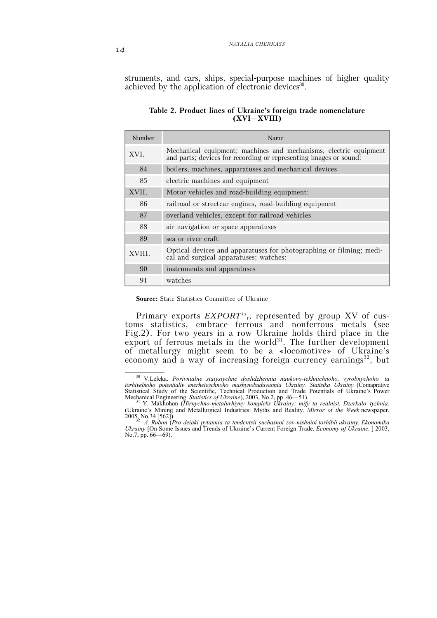struments, and cars, ships, special-purpose machines of higher quality achieved by the application of electronic devices<sup>30</sup>.

| Number | Name                                                                                                                                   |  |  |  |  |  |
|--------|----------------------------------------------------------------------------------------------------------------------------------------|--|--|--|--|--|
| XVI.   | Mechanical equipment; machines and mechanisms, electric equipment<br>and parts; devices for recording or representing images or sound: |  |  |  |  |  |
| 84     | boilers, machines, apparatuses and mechanical devices                                                                                  |  |  |  |  |  |
| 85     | electric machines and equipment                                                                                                        |  |  |  |  |  |
| XVII.  | Motor vehicles and road-building equipment:                                                                                            |  |  |  |  |  |
| 86     | railroad or streetcar engines, road-building equipment                                                                                 |  |  |  |  |  |
| 87     | overland vehicles, except for railroad vehicles                                                                                        |  |  |  |  |  |
| 88     | air navigation or space apparatuses                                                                                                    |  |  |  |  |  |
| 89     | sea or river craft                                                                                                                     |  |  |  |  |  |
| XVIII. | Optical devices and apparatuses for photographing or filming; medi-<br>cal and surgical apparatuses; watches:                          |  |  |  |  |  |
| 90     | instruments and apparatuses                                                                                                            |  |  |  |  |  |
| 91     | watches                                                                                                                                |  |  |  |  |  |

#### **Table 2. Product lines of Ukraine's foreign trade nomenclature (XVI–XVIII)**

**Source:** State Statistics Committee of Ukraine

Primary exports  $EXPORT^{15}$ , represented by group XV of customs statistics, embrace ferrous and nonferrous metals (see Fig.2). For two years in a row Ukraine holds third place in the export of ferrous metals in the world<sup>31</sup>. The further development of metallurgy might seem to be a «locomotive» of Ukraine's economy and a way of increasing foreign currency earnings<sup>32</sup>, but

 <sup>30</sup> V.Leleka. *Porivnialne statystychne doslidzhennia naukovo-tekhnichnoho, vyrobnychoho ta torhivelnoho potentialiv enerheteychnoho mashynobuduvannia Ukrainy. Statistka Ukrainy.* (Comaprative Statistical Study of the Scientific, Technical Production and Trade Potentials of Ukraine's Power Mechanical Engineering. *Statistics of Ukraine*), 2003, No.2, pp. 46—51). <sup>31</sup> Y. Makhohon (*Hirnychno-metalurhiyny kompleks Ukrainy: mify ta realnist. Dzerkalo tyzhnia.*

<sup>(</sup>Ukraine's Mining and Metallurgical Industries: Myths and Reality. *Mirror of the Week* newspaper. 2005, No.34 [562]).<br><sup>32</sup> A. Ruban (Pro deiaki pytannia ta tendentsii suchasnoi zov-nishnioi torhibli ukrainy. Ekonomika

*Ukrainy* [On Some Issues and Trends of Ukraine's Current Foreign Trade. *Economy of Ukraine.* ] 2003, Ukrainy [On Some Issues and Trends of Ukraine's Current Foreign Trade. *Economy of Ukraine*. ] 2003, No.7, pp. 66—69).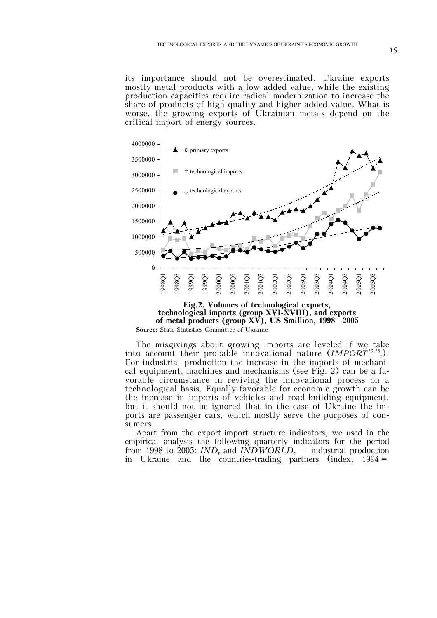its importance should not be overestimated. Ukraine exports mostly metal products with a low added value, while the existing production capacities require radical modernization to increase the share of products of high quality and higher added value. What is worse, the growing exports of Ukrainian metals depend on the critical import of energy sources.



**Source:** State Statistics Committee of Ukraine

The misgivings about growing imports are leveled if we take into account their probable innovational nature (*IMPORT16-18 t*). For industrial production the increase in the imports of mechanical equipment, machines and mechanisms (see Fig. 2) can be a favorable circumstance in reviving the innovational process on a technological basis. Equally favorable for economic growth can be the increase in imports of vehicles and road-building equipment, but it should not be ignored that in the case of Ukraine the imports are passenger cars, which mostly serve the purposes of consumers.

Apart from the export-import structure indicators, we used in the empirical analysis the following quarterly indicators for the period from 1998 to 2005:  $IND<sub>t</sub>$  and  $INDWORLD<sub>t</sub>$  – industrial production in Ukraine and the countries-trading partners (index, 1994 =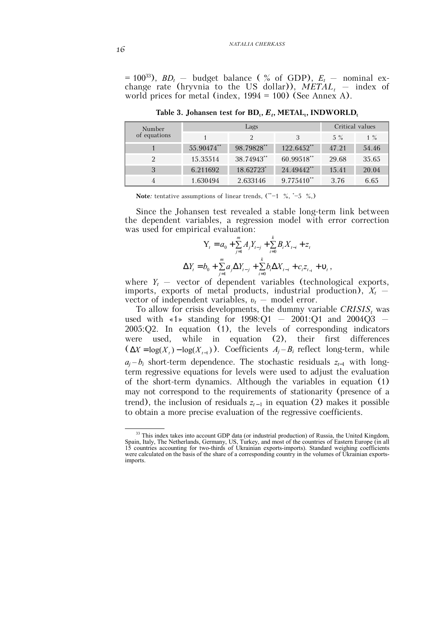$= 100^{33}$ ,  $BD_t$  – budget balance (% of GDP),  $E_t$  – nominal exchange rate (hryvnia to the US dollar)),  $METAL_t$  – index of world prices for metal (index, 1994 = 100) (See Annex А).

| Number<br>of equations |            | Critical values |                 |       |       |
|------------------------|------------|-----------------|-----------------|-------|-------|
|                        |            |                 |                 | $5\%$ | $1\%$ |
|                        | 55.90474** | 98.79828**      | $122.6452$ **   | 47.21 | 54.46 |
| 2                      | 15.35514   | 38.74943**      | 60.99518**      | 29.68 | 35.65 |
| 3                      | 6.211692   | 18.62723*       | 24.49442**      | 15.41 | 20.04 |
|                        | 1.630494   | 2.633146        | $9.775410^{**}$ | 3.76  | 6.65  |

**Table 3. Johansen test for**  $BD_t$ **,**  $E_t$ **, METAL<sub>t</sub>, INDWORLD<sub>t</sub>** 

**Note**: tentative assumptions of linear trends,  $(*-1 \, % , *-5 \, % ,)$ 

Since the Johansen test revealed a stable long-term link between the dependent variables, a regression model with error correction was used for empirical evaluation:

$$
Y_{t} = a_{0} + \sum_{j=1}^{m} A_{j} Y_{t-j} + \sum_{i=0}^{k} B_{i} X_{t-i} + z_{t}
$$
  

$$
\Delta Y_{t} = b_{0} + \sum_{j=1}^{m} a_{j} \Delta Y_{t-j} + \sum_{i=0}^{k} b_{i} \Delta X_{t-i} + c_{i} z_{t-1} + \mathbf{v}_{t},
$$

where  $Y_t$  – vector of dependent variables (technological exports, imports, exports of metal products, industrial production),  $X_t$  – vector of independent variables, *υt* – model error.

To allow for crisis developments, the dummy variable  $CRISIS_t$  was used with  $\le 1$  standing for 1998:Q1 – 2001:Q1 and 2004Q3 – 2005:Q2. In equation (1), the levels of corresponding indicators were used, while in equation (2), their first differences  $(XX = \log(X_i) - \log(X_{i-1}))$ . Coefficients  $A_i - B_i$  reflect long-term, while  $a_j - b_i$  short-term dependence. The stochastic residuals  $z_{t-1}$  with longterm regressive equations for levels were used to adjust the evaluation of the short-term dynamics. Although the variables in equation (1) may not correspond to the requirements of stationarity (presence of a trend), the inclusion of residuals  $z_{t-1}$  in equation (2) makes it possible to obtain a more precise evaluation of the regressive coefficients.

<sup>&</sup>lt;sup>33</sup> This index takes into account GDP data (or industrial production) of Russia, the United Kingdom, Spain, Italy, The Netherlands, Germany, US, Turkey, and most of the countries of Eastern Europe (in all 15 countries accounting for two-thirds of Ukrainian exports-imports). Standard weighing coefficients were calculated on the basis of the share of a corresponding country in the volumes of Ukrainian exportsimports.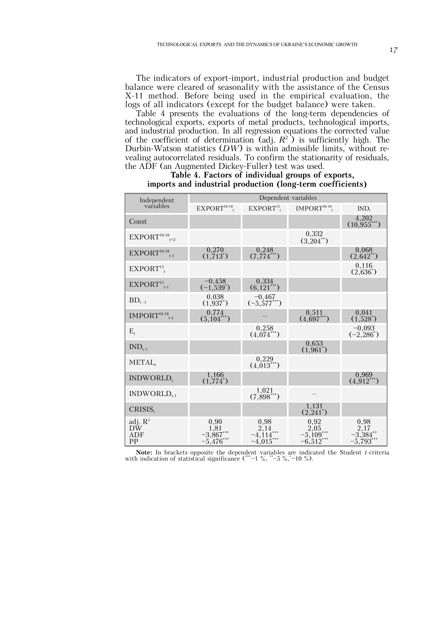The indicators of export-import, industrial production and budget balance were cleared of seasonality with the assistance of the Census X-11 method. Before being used in the empirical evaluation, the logs of all indicators (except for the budget balance) were taken.

Table 4 presents the evaluations of the long-term dependencies of technological exports, exports of metal products, technological imports, and industrial production. In all regression equations the corrected value of the coefficient of determination (adj.  $R^2$ ) is sufficiently high. The Durbin-Watson statistics (*DW*) is within admissible limits, without revealing autocorrelated residuals. To confirm the stationarity of residuals, the ADF (an Augmented Dickey-Fuller) test was used.

| Independent                                                                  | Dependent variables                     |                                         |                                            |                                            |  |  |  |
|------------------------------------------------------------------------------|-----------------------------------------|-----------------------------------------|--------------------------------------------|--------------------------------------------|--|--|--|
| variables                                                                    | $EXPORT16-18$                           | $EXPORT15$ .                            | $IMPORT16-18$                              | IND <sub>t</sub>                           |  |  |  |
| Const                                                                        |                                         |                                         |                                            | 4,202<br>(10.955)                          |  |  |  |
| $EXPORT16-18_{t+2}$                                                          |                                         |                                         | 0,332<br>$(3,204^{**})$                    |                                            |  |  |  |
| $EXPORT16-18$ <sub>t-1</sub>                                                 | 0,270<br>$(1,713^{*})$                  | 0,248<br>$(7, 774$ <sup>***</sup> )     |                                            | 0.068<br>$(2,642^{**})$                    |  |  |  |
| EXPORT <sup>15</sup>                                                         |                                         |                                         |                                            | 0.116<br>$(2,636^*)$                       |  |  |  |
| $EXPORT15t-1$                                                                | $-0,458$<br>$(-1,539^*)$                | 0,334<br>$(6, 121$ <sup>***</sup> )     |                                            |                                            |  |  |  |
| $BD_{t-1}$                                                                   | 0.038<br>$(1,937^*)$                    | $-0,467$<br>$(-5,577***)$               |                                            |                                            |  |  |  |
| $\mathbf{IMPORT}^{16\text{-}18}\overline{\phantom{0}}_{\mathsf{t}\text{-}1}$ | 0,774<br>$(5,104^{***})$                |                                         | 0.511<br>$(4,697***)$                      | 0.041<br>$(1,528^*)$                       |  |  |  |
| $E_t$                                                                        |                                         | 0,258<br>$(4,074^{***})$                |                                            | $-0,093$<br>$(-2,286)$                     |  |  |  |
| $IND_{t-1}$                                                                  |                                         |                                         | 0,653<br>$(1,961^*)$                       |                                            |  |  |  |
| METAL,                                                                       |                                         | 0,229<br>$(4,013^{***})$                |                                            |                                            |  |  |  |
| INDWORLD,                                                                    | 1,166<br>$(1,774^*)$                    |                                         |                                            | 0.969<br>$(4.912***)$                      |  |  |  |
| $INDWORLD_{t-1}$                                                             |                                         | 1.021<br>$(7,898^{***})$                |                                            |                                            |  |  |  |
| CRISIS.                                                                      |                                         |                                         | 1,131<br>$(2,241^*)$                       |                                            |  |  |  |
| adj. $R^2$<br>DW<br>ADF<br>PP                                                | 0,90<br>1,81<br>$-3,867$<br>$-5,476***$ | 0,98<br>2,14<br>$-4,114$<br>$-4,015***$ | 0,92<br>2,05<br>$-5,109***$<br>$-6,512***$ | 0,98<br>2,17<br>$-3,384$ **<br>$-5,793***$ |  |  |  |

#### **Table 4. Factors of individual groups of exports, imports and industrial production (long-term coefficients)**

**Note:** In brackets opposite the dependent variables are indicated the Student *t*-criteria with indication of statistical significance (\*\*-1 %, \*-5 %,\*-10 %).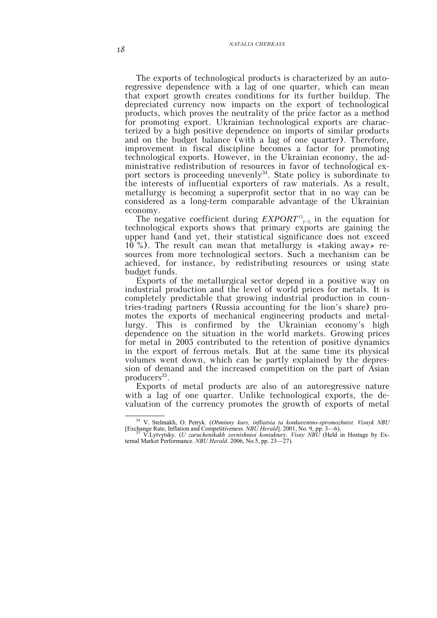The exports of technological products is characterized by an autoregressive dependence with a lag of one quarter, which can mean that export growth creates conditions for its further buildup. The depreciated currency now impacts on the export of technological products, which proves the neutrality of the price factor as a method for promoting export. Ukrainian technological exports are characterized by a high positive dependence on imports of similar products and on the budget balance (with a lag of one quarter). Therefore, improvement in fiscal discipline becomes a factor for promoting technological exports. However, in the Ukrainian economy, the administrative redistribution of resources in favor of technological export sectors is proceeding unevenly<sup>34</sup>. State policy is subordinate to the interests of influential exporters of raw materials. As a result, metallurgy is becoming a superprofit sector that in no way can be considered as a long-term comparable advantage of the Ukrainian economy.

The negative coefficient during  $EXPORT<sup>15</sup>_{t-1}$ , in the equation for technological exports shows that primary exports are gaining the upper hand (and yet, their statistical significance does not exceed 10 %). The result can mean that metallurgy is «taking away» resources from more technological sectors. Such a mechanism can be achieved, for instance, by redistributing resources or using state budget funds.

Exports of the metallurgical sector depend in a positive way on industrial production and the level of world prices for metals. It is completely predictable that growing industrial production in countries-trading partners (Russia accounting for the lion's share) promotes the exports of mechanical engineering products and metallurgy. This is confirmed by the Ukrainian economy's high dependence on the situation in the world markets. Growing prices for metal in 2005 contributed to the retention of positive dynamics in the export of ferrous metals. But at the same time its physical volumes went down, which can be partly explained by the depression of demand and the increased competition on the part of Asian producers<sup>35</sup>.

Exports of metal products are also of an autoregressive nature with a lag of one quarter. Unlike technological exports, the devaluation of the currency promotes the growth of exports of metal

 <sup>34</sup> V. Stelmakh, O. Petryk. (*Obminny kurs, infliatsia ta konkurentno-spromozhnist. Visnyk NBU* [Exchange Rate, Inflation and Competitiveness. *NBU Herald*]. 2001, No. 9, pp. 3—6). <sup>35</sup> V.Lytvytsky. (*U zaruchenikakh zovnishnioi koniuktury. Visny NBU* (Held in Hostage by Ex-

ternal Market Performance. *NBU Herald*. 2006, No.5, pp. 23—27).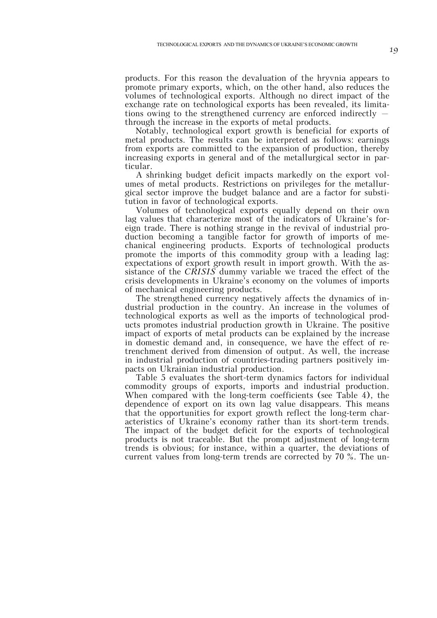products. For this reason the devaluation of the hryvnia appears to promote primary exports, which, on the other hand, also reduces the volumes of technological exports. Although no direct impact of the exchange rate on technological exports has been revealed, its limitations owing to the strengthened currency are enforced indirectly – through the increase in the exports of metal products.

Notably, technological export growth is beneficial for exports of metal products. The results can be interpreted as follows: earnings from exports are committed to the expansion of production, thereby increasing exports in general and of the metallurgical sector in particular.

A shrinking budget deficit impacts markedly on the export volumes of metal products. Restrictions on privileges for the metallurgical sector improve the budget balance and are a factor for substitution in favor of technological exports.

Volumes of technological exports equally depend on their own lag values that characterize most of the indicators of Ukraine's foreign trade. There is nothing strange in the revival of industrial production becoming a tangible factor for growth of imports of mechanical engineering products. Exports of technological products promote the imports of this commodity group with a leading lag: expectations of export growth result in import growth. With the assistance of the *CRISIS* dummy variable we traced the effect of the crisis developments in Ukraine's economy on the volumes of imports of mechanical engineering products.

The strengthened currency negatively affects the dynamics of industrial production in the country. An increase in the volumes of technological exports as well as the imports of technological products promotes industrial production growth in Ukraine. The positive impact of exports of metal products can be explained by the increase in domestic demand and, in consequence, we have the effect of retrenchment derived from dimension of output. As well, the increase in industrial production of countries-trading partners positively impacts on Ukrainian industrial production.

Table 5 evaluates the short-term dynamics factors for individual commodity groups of exports, imports and industrial production. When compared with the long-term coefficients (see Table 4), the dependence of export on its own lag value disappears. This means that the opportunities for export growth reflect the long-term characteristics of Ukraine's economy rather than its short-term trends. The impact of the budget deficit for the exports of technological products is not traceable. But the prompt adjustment of long-term trends is obvious; for instance, within a quarter, the deviations of current values from long-term trends are corrected by 70 %. The un-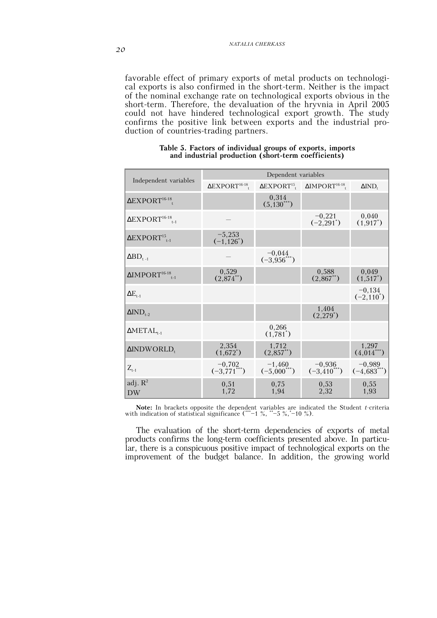favorable effect of primary exports of metal products on technological exports is also confirmed in the short-term. Neither is the impact of the nominal exchange rate on technological exports obvious in the short-term. Therefore, the devaluation of the hryvnia in April 2005 could not have hindered technological export growth. The study confirms the positive link between exports and the industrial production of countries-trading partners.

|                                                 | Dependent variables                           |                              |                                                                                                |                              |  |  |  |
|-------------------------------------------------|-----------------------------------------------|------------------------------|------------------------------------------------------------------------------------------------|------------------------------|--|--|--|
| Independent variables                           | $\Delta$ EXPORT <sup>16-18</sup> <sub>t</sub> |                              | $\triangle$ EXPORT <sup>15</sup> <sub>t</sub> $\triangle$ IMPORT <sup>16-18</sup> <sub>t</sub> | $\Delta IND_+$               |  |  |  |
| $\Delta$ EXPORT <sup>16-18</sup>                |                                               | 0,314<br>$(5,130^{***})$     |                                                                                                |                              |  |  |  |
| $\Delta$ EXPORT <sup>16-18</sup> <sub>t-1</sub> |                                               |                              | $-0,221$<br>$(-2, 291)$                                                                        | 0,040<br>$(1, 917^*)$        |  |  |  |
| $\Delta$ EXPORT <sup>15</sup> <sub>t-1</sub>    | $-5,253$<br>$(-1, 126^*)$                     |                              |                                                                                                |                              |  |  |  |
| $\Delta BD_{t-1}$                               |                                               | $-0,044$<br>$(-3,956^{***})$ |                                                                                                |                              |  |  |  |
| $\Delta$ IMPORT <sup>16-18</sup> <sub>t-1</sub> | 0,529<br>$(2,874^{**})$                       |                              | 0,588<br>$(2,867^{**})$                                                                        | 0,049<br>$(1,517^*)$         |  |  |  |
| $\Delta E_{t-1}$                                |                                               |                              |                                                                                                | $-0,134$<br>$(-2, 110^*)$    |  |  |  |
| $\Delta IND_{t-2}$                              |                                               |                              | 1,404<br>$(2,279^*)$                                                                           |                              |  |  |  |
| $\Delta \text{METAL}_{t-1}$                     |                                               | 0,266<br>$(1,781^{*})$       |                                                                                                |                              |  |  |  |
| $\Delta$ INDWORLD,                              | 2,354<br>$(1,672^*)$                          | 1,712<br>$(2,857^{**})$      |                                                                                                | 1,297<br>$(4,014^{**})$      |  |  |  |
| $Z_{t-1}$                                       | $-0,702$<br>$(-3,771***)$                     | $-1,460$<br>$(-5,000^{***})$ | $-0,936$<br>$(-3,410^{***})$                                                                   | $-0,989$<br>$(-4,683^{***})$ |  |  |  |
| adj. $R^2$<br><b>DW</b>                         | 0,51<br>1,72                                  | 0.75<br>1,94                 | 0.53<br>2,32                                                                                   | 0,55<br>1,93                 |  |  |  |

#### **Table 5. Factors of individual groups of exports, imports and industrial production (short-term coefficients)**

**Note:** In brackets opposite the dependent variables are indicated the Student *t*-criteria with indication of statistical significance (\*\*\*–1 %, \*\*–5 %,\*–10 %).

The evaluation of the short-term dependencies of exports of metal products confirms the long-term coefficients presented above. In particular, there is a conspicuous positive impact of technological exports on the improvement of the budget balance. In addition, the growing world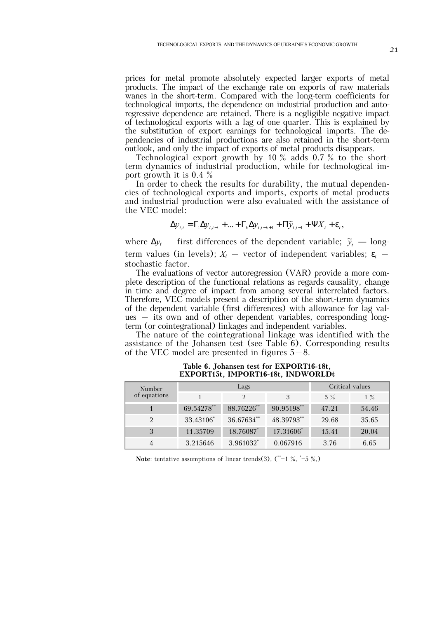prices for metal promote absolutely expected larger exports of metal products. The impact of the exchange rate on exports of raw materials wanes in the short-term. Compared with the long-term coefficients for technological imports, the dependence on industrial production and autoregressive dependence are retained. There is a negligible negative impact of technological exports with a lag of one quarter. This is explained by the substitution of export earnings for technological imports. The dependencies of industrial productions are also retained in the short-term outlook, and only the impact of exports of metal products disappears.

Technological export growth by 10 % adds 0.7 % to the shortterm dynamics of industrial production, while for technological import growth it is 0.4 %

In order to check the results for durability, the mutual dependencies of technological exports and imports, exports of metal products and industrial production were also evaluated with the assistance of the VEC model:

$$
\Delta y_{i,t} = \Gamma_1 \Delta y_{i,t-1} + \dots + \Gamma_k \Delta y_{i,t-k+1} + \Pi \widetilde{y}_{i,t-1} + \Psi X_t + \varepsilon_t,
$$

where  $\Delta y_t$  – first differences of the dependent variable;  $\tilde{y}_t$  – longterm values (in levels);  $X_t$  – vector of independent variables;  $\varepsilon_t$  – stochastic factor.

The evaluations of vector autoregression (VAR) provide a more complete description of the functional relations as regards causality, change in time and degree of impact from among several interrelated factors. Therefore, VEC models present a description of the short-term dynamics of the dependent variable (first differences) with allowance for lag values – its own and of other dependent variables, corresponding longterm (or cointegrational) linkages and independent variables.

The nature of the cointegrational linkage was identified with the assistance of the Johansen test (see Table 6). Corresponding results of the VEC model are presented in figures  $5-8$ .

| Number       |            | Lags       | Critical values |       |       |
|--------------|------------|------------|-----------------|-------|-------|
| of equations |            | 2          | 3               | $5\%$ | $1\%$ |
|              | 69.54278** | 88.76226** | 90.95198**      | 47.21 | 54.46 |
|              | 33.43106*  | 36.67634** | 48.39793**      | 29.68 | 35.65 |
|              | 11.35709   | 18.76087*  | 17.31606*       | 15.41 | 20.04 |
|              | 3.215646   | 3.961032*  | 0.067916        | 3.76  | 6.65  |

**Table 6. Johansen test for EXPORT16-18t, EXPORT15t, IMPORT16-18t, INDWORLDt**

**Note**: tentative assumptions of linear trends(3), (\*\*–1 %, \*–5 %,)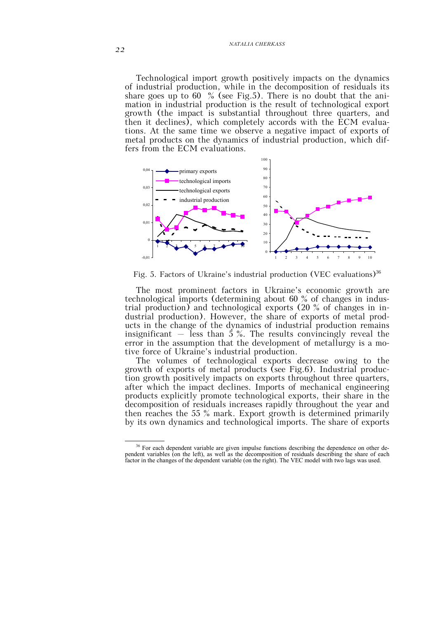Technological import growth positively impacts on the dynamics of industrial production, while in the decomposition of residuals its share goes up to 60  $\%$  (see Fig.5). There is no doubt that the animation in industrial production is the result of technological export growth (the impact is substantial throughout three quarters, and then it declines), which completely accords with the ECM evaluations. At the same time we observe a negative impact of exports of metal products on the dynamics of industrial production, which differs from the ECM evaluations.



Fig. 5. Factors of Ukraine's industrial production (VEC evaluations)<sup>36</sup>

The most prominent factors in Ukraine's economic growth are technological imports (determining about 60 % of changes in industrial production) and technological exports (20 % of changes in industrial production). However, the share of exports of metal products in the change of the dynamics of industrial production remains insignificant – less than  $5\%$ . The results convincingly reveal the error in the assumption that the development of metallurgy is a motive force of Ukraine's industrial production.

The volumes of technological exports decrease owing to the growth of exports of metal products (see Fig.6). Industrial production growth positively impacts on exports throughout three quarters, after which the impact declines. Imports of mechanical engineering products explicitly promote technological exports, their share in the decomposition of residuals increases rapidly throughout the year and then reaches the 55 % mark. Export growth is determined primarily by its own dynamics and technological imports. The share of exports

<sup>&</sup>lt;sup>36</sup> For each dependent variable are given impulse functions describing the dependence on other dependent variables (on the left), as well as the decomposition of residuals describing the share of each factor in the changes of the dependent variable (on the right). The VEC model with two lags was used.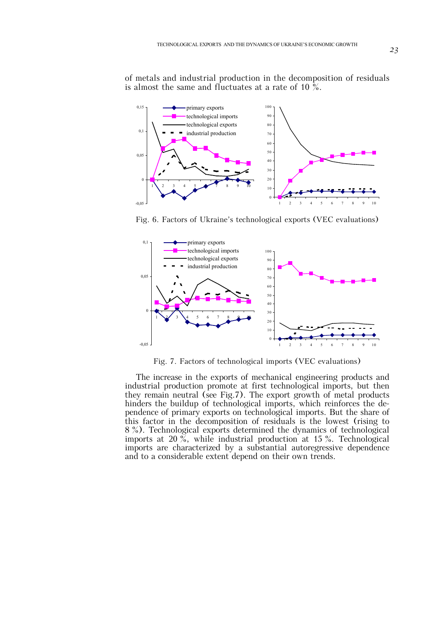of metals and industrial production in the decomposition of residuals is almost the same and fluctuates at a rate of 10  $\frac{6}{9}$ .



Fig. 6. Factors of Ukraine's technological exports (VEC evaluations)



Fig. 7. Factors of technological imports (VEC evaluations)

The increase in the exports of mechanical engineering products and industrial production promote at first technological imports, but then they remain neutral (see Fig.7). The export growth of metal products hinders the buildup of technological imports, which reinforces the dependence of primary exports on technological imports. But the share of this factor in the decomposition of residuals is the lowest (rising to 8 %). Technological exports determined the dynamics of technological imports at 20  $\frac{8}{6}$ , while industrial production at 15 %. Technological imports are characterized by a substantial autoregressive dependence and to a considerable extent depend on their own trends.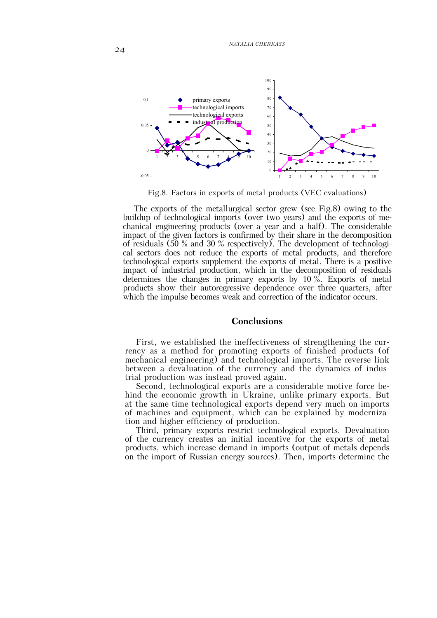*NATALIA CHERKASS*

![](_page_19_Figure_1.jpeg)

Fig.8. Factors in exports of metal products (VEC evaluations)

The exports of the metallurgical sector grew (see Fig.8) owing to the buildup of technological imports (over two years) and the exports of mechanical engineering products (over a year and a half). The considerable impact of the given factors is confirmed by their share in the decomposition of residuals (50 % and 30 % respectively). The development of technological sectors does not reduce the exports of metal products, and therefore technological exports supplement the exports of metal. There is a positive impact of industrial production, which in the decomposition of residuals determines the changes in primary exports by 10 %. Exports of metal products show their autoregressive dependence over three quarters, after which the impulse becomes weak and correction of the indicator occurs.

## **Conclusions**

First, we established the ineffectiveness of strengthening the currency as a method for promoting exports of finished products (of mechanical engineering) and technological imports. The reverse link between a devaluation of the currency and the dynamics of industrial production was instead proved again.

Second, technological exports are a considerable motive force behind the economic growth in Ukraine, unlike primary exports. But at the same time technological exports depend very much on imports of machines and equipment, which can be explained by modernization and higher efficiency of production.

Third, primary exports restrict technological exports. Devaluation of the currency creates an initial incentive for the exports of metal products, which increase demand in imports (output of metals depends on the import of Russian energy sources). Then, imports determine the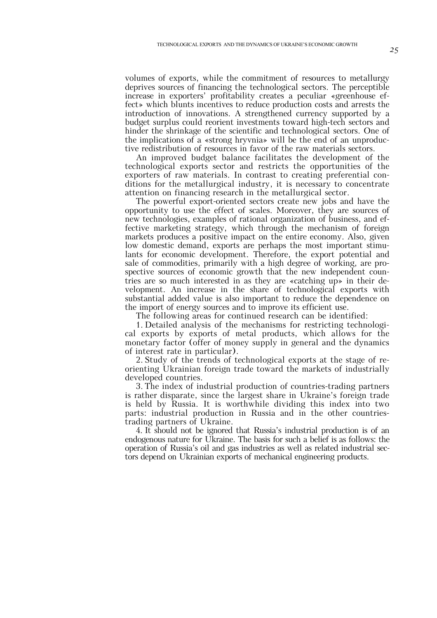volumes of exports, while the commitment of resources to metallurgy deprives sources of financing the technological sectors. The perceptible increase in exporters' profitability creates a peculiar «greenhouse effect» which blunts incentives to reduce production costs and arrests the introduction of innovations. A strengthened currency supported by a budget surplus could reorient investments toward high-tech sectors and hinder the shrinkage of the scientific and technological sectors. One of the implications of a «strong hryvnia» will be the end of an unproductive redistribution of resources in favor of the raw materials sectors.

An improved budget balance facilitates the development of the technological exports sector and restricts the opportunities of the exporters of raw materials. In contrast to creating preferential conditions for the metallurgical industry, it is necessary to concentrate attention on financing research in the metallurgical sector.

The powerful export-oriented sectors create new jobs and have the opportunity to use the effect of scales. Moreover, they are sources of new technologies, examples of rational organization of business, and effective marketing strategy, which through the mechanism of foreign markets produces a positive impact on the entire economy. Also, given low domestic demand, exports are perhaps the most important stimulants for economic development. Therefore, the export potential and sale of commodities, primarily with a high degree of working, are prospective sources of economic growth that the new independent countries are so much interested in as they are «catching up» in their development. An increase in the share of technological exports with substantial added value is also important to reduce the dependence on the import of energy sources and to improve its efficient use.

The following areas for continued research can be identified:

1. Detailed analysis of the mechanisms for restricting technological exports by exports of metal products, which allows for the monetary factor (offer of money supply in general and the dynamics of interest rate in particular).

2. Study of the trends of technological exports at the stage of reorienting Ukrainian foreign trade toward the markets of industrially developed countries.

3. The index of industrial production of countries-trading partners is rather disparate, since the largest share in Ukraine's foreign trade is held by Russia. It is worthwhile dividing this index into two parts: industrial production in Russia and in the other countriestrading partners of Ukraine.

4. It should not be ignored that Russia's industrial production is of an endogenous nature for Ukraine. The basis for such a belief is as follows: the operation of Russia's oil and gas industries as well as related industrial sectors depend on Ukrainian exports of mechanical engineering products.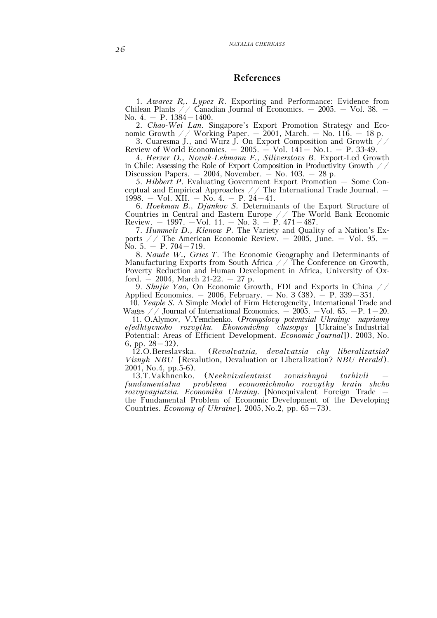# **References**

1. *Awarez R,. Lуpez R*. Exporting and Performance: Evidence from Chilean Plants  $\frac{1}{2}$  Canadian Journal of Economics. – 2005. – Vol. 38. – No. 4. – P. 1384–1400.

2. *Chao-Wei Lan*. Singapore's Export Promotion Strategy and Economic Growth  $\angle$  / Working Paper. – 2001, March. – No. 116. – 18 p. 3. Cuaresma J., and Wurz J. On Export Composition and Growth  $\frac{1}{4}$ 

Review of World Economics.  $-2005. - Vol. 141 - No.1. - P. 33-49.$ 

4. *Herzer D., Novak-Lehmann F., Siliverstovs B*. Export-Led Growth in Chile: Assessing the Role of Export Composition in Productivity Growth // Discussion Papers.  $-2004$ , November.  $-$  No. 103.  $-28$  p.

5. *Hibbert P*. Evaluating Government Export Promotion – Some Conceptual and Empirical Approaches  $//$  The International Trade Journal.  $-$ 1998. – Vol. XII. – No. 4. – P. 24–41.

6. *Hoekman B., Djankov S.* Determinants of the Export Structure of Countries in Central and Eastern Europe // The World Bank Economic Review. – 1997. –Vol. 11. – No. 3. – P. 471–487.

7. *Hummels D., Klenow P.* The Variety and Quality of a Nation's Exports  $\angle$  The American Economic Review. – 2005, June. – Vol. 95. – No. 5. – P. 704–719.

8. *Naude W., Gries T*. The Economic Geography and Determinants of Manufacturing Exports from South Africa  $\angle$  The Conference on Growth, Poverty Reduction and Human Development in Africa, University of Oxford.  $-2004$ , March 21-22.  $-27$  p.

9. *Shujie Yao*, On Economic Growth, FDI and Exports in China // Applied Economics.  $-2006$ , February.  $-$  No. 3 (38).  $-$  P. 339 $-351$ .

10. *Yeaple S.* A Simple Model of Firm Heterogeneity, International Trade and Wages  $\frac{1}{2}$  Journal of International Economics.  $-$  2005. -Vol. 65. -P. 1–20.

11. O.Alymov, V.Yemchenko. (*Promyslovy potentsial Ukrainy: napriamy efedktyvnoho rozvytku. Ekonomichny chasopys* [Ukraine's Industrial Potential: Areas of Efficient Development. *Economic Journal*]). 2003, No. 6, pp.  $28-32$ ).

12.O.Bereslavska. (*Revalvatsia, devalvatsia chy liberalizatsia? Visnyk NBU* [Revalution, Devaluation or Liberalization? *NBU Herald*). 2001, No.4, pp.5-6).

13.T.Vakhnenko. (*Neekvivalentnist zovnishnyoi torhivli – fundamentalna problema economichnoho rozvytky krain shcho rozvyvayiutsia. Economika Ukrainy.* [Nonequivalent Foreign Trade – the Fundamental Problem of Economic Development of the Developing Countries. *Economy of Ukraine*]. 2005, No.2, pp. 65–73).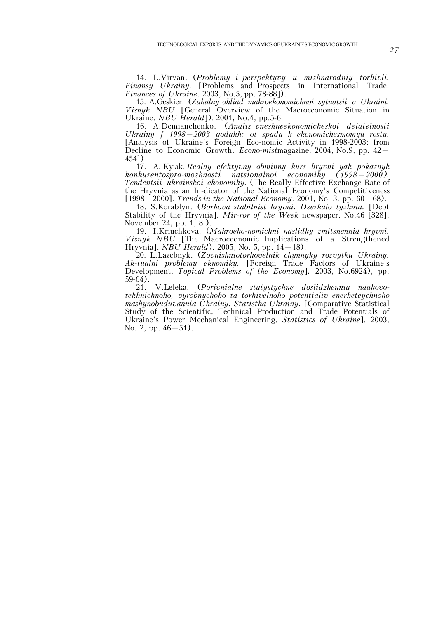14. L.Virvan. (*Problemy i perspektyvy u mizhnarodniy torhivli. Finansy Ukrainy.* [Problems and Prospects in International Trade. *Finances of Ukraine*. 2003, No.5, pp. 78-88]).

15. A.Geskier. (*Zahalny ohliad makroekonomichnoi sytuatsii v Ukraini. Visnyk NBU* [General Overview of the Macroeconomic Situation in Ukraine. *NBU Herald*]). 2001, No.4, pp.5-6.

16. A.Demianchenko. (*Analiz vneshneekonomicheskoi deiatelnosti Ukrainy f 1998–2003 godakh: ot spada k ekonomichesmomyu rostu.*  [Analysis of Ukraine's Foreign Eco-nomic Activity in 1998-2003: from Decline to Economic Growth. *Econo-mist*magazine. 2004, No.9, pp. 42– 454])

17. A. Kyiak. *Realny efektyvny obminny kurs hryvni yak pokaznyk konkurentospro-mozhnosti natsionalnoi economiky (1998–2000). Tendentsii ukrainskoi ekonomiky.* (The Really Effective Exchange Rate of the Hryvnia as an In-dicator of the National Economy's Competitiveness [1998–2000]. *Trends in the National Economy*. 2001, No. 3, pp. 60–68).

18. S.Korablyn. (*Borhova stabilnist hryvni. Dzerkalo tyzhnia.* [Debt Stability of the Hryvnia]. *Mir-ror of the Week* newspaper. No.46 [328], November 24, pp. 1, 8.).

19. I.Kriuchkova. (*Makroeko-nomichni naslidky zmitsnennia hryvni.*  Visnyk NBU [The Macroeconomic Implications of a Strengthened Hryvnia]. *NBU Herald*). 2005, No. 5, pp. 14–18).

20. L.Lazebnyk. (*Zovnishniotorhovelnik chynnyky rozvytku Ukrainy. Ak-tualni problemy eknomiky.* [Foreign Trade Factors of Ukraine's Development. *Topical Problems of the Economy*]*.* 2003, No.6924), pp.  $\frac{59-64}{21}$ .

21. V.Leleka. (*Porivnialne statystychne doslidzhennia naukovotekhnichnoho, vyrobnychoho ta torhivelnoho potentialiv enerheteychnoho mashynobuduvannia Ukrainy. Statistka Ukrainy.* [Comparative Statistical Study of the Scientific, Technical Production and Trade Potentials of Ukraine's Power Mechanical Engineering. *Statistics of Ukraine*]. 2003, No. 2, pp.  $46-51$ ).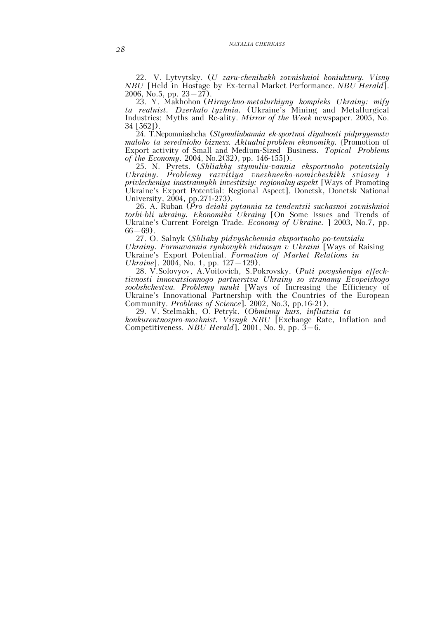22. V. Lytvytsky. (*U zaru-chenikakh zovnishnioi koniuktury. Visny NBU* [Held in Hostage by Ex-ternal Market Performance. *NBU Herald*]. 2006, No.5, pp.  $23-27$ ).

23. Y. Makhohon (*Hirnychno-metalurhiyny kompleks Ukrainy: mify ta realnist. Dzerkalo tyzhnia.* (Ukraine's Mining and Metallurgical Industries: Myths and Re-ality. *Mirror of the Week* newspaper. 2005, No. 34 [562]).

24. T.Nepomniashcha (*Stymuliubannia ek-sportnoi diyalnosti pidpryyemstv maloho ta serednioho bizness. Aktualni problem ekonomiky.* {Promotion of Export activity of Small and Medium-Sized Business. *Topical Problems of the Economy*. 2004, No.2(32), pp. 146-155]).

25. N. Pyrets. (*Shliakhy stymuliu-vannia eksportnoho potentsialy Ukrainy. Problemy razvitiya vneshneeko-nomicheskikh sviasey i privlecheniya inostrannykh investitsiy: regionalny aspekt* [Ways of Promoting Ukraine's Export Potential: Regional Aspect]. Donetsk, Donetsk National University, 2004, pp.271-273).

26. A. Ruban (*Pro deiaki pytannia ta tendentsii suchasnoi zovnishnioi torhi-bli ukrainy. Ekonomika Ukrainy* [On Some Issues and Trends of Ukraine's Current Foreign Trade. *Economy of Ukraine.* ] 2003, No.7, pp.  $66-69$ ).

27. O. Salnyk (*Shliaky pidvyshchennia eksportnoho po-tentsialu Ukrainy. Formuvannia rynkovykh vidnosyn v Ukraini* [Ways of Raising Ukraine's Export Potential. *Formation of Market Relations in Ukraine*]. 2004, No. 1, pp. 127–129).

28. V.Solovyov, A.Voitovich, S.Pokrovsky. (*Puti povysheniya effecktivnosti innovatsionnogo partnerstva Ukrainy so stranamy Evopeiskogo soobshchestva. Problemy nauki* [Ways of Increasing the Efficiency of Ukraine's Innovational Partnership with the Countries of the European Community. *Problems of Science*]*.* 2002, No.3, pp.16-21).

29. V. Stelmakh, O. Petryk. (*Obminny kurs, infliatsia ta konkurentnospro-mozhnist. Visnyk NBU* [Exchange Rate, Inflation and Competitiveness. *NBU Herald*]. 2001, No. 9, pp. 3–6.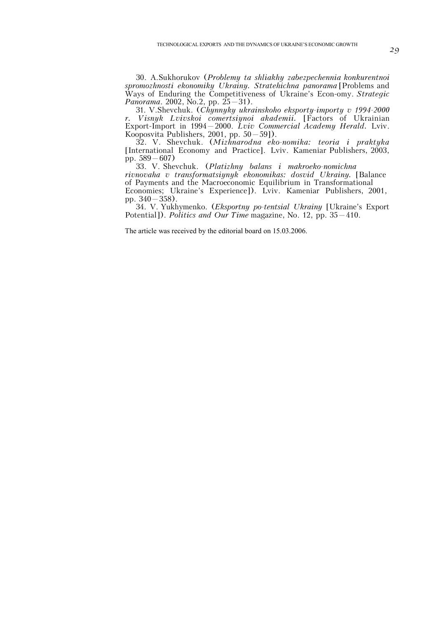30. A.Sukhorukov (*Problemy ta shliakhy zabezpechennia konkurentnoi spromozhnosti ekonomiky Ukrainy. Stratehichna panorama* [Problems and Ways of Enduring the Competitiveness of Ukraine's Econ-omy. *Strategic Panorama*. 2002, No.2, pp.  $25-31$ .

31. V.Shevchuk. (*Chynnyky ukrainskoho eksporty-importy v 1994-2000 r. Visnyk Lvivskoi comertsiynoi akademii.* [Factors of Ukrainian Export-Import in 1994–2000. *Lviv Commercial Academy Herald.* Lviv. Kooposvita Publishers, 2001, pp. 50–59]).

32. V. Shevchuk. (*Mizhnarodna eko-nomika: teoria i praktyka* [International Economy and Practice]. Lviv. Kameniar Publishers, 2003, pp. 589–607)

33. V. Shevchuk. (*Platizhny balans i makroeko-nomichna rivnovaha v transformatsiynyk ekonomikas: dosvid Ukrainy.* [Balance of Payments and the Macroeconomic Equilibrium in Transformational Economies; Ukraine's Experience]). Lviv. Kameniar Publishers, 2001, pp. 340–358).

34. V. Yukhymenko. (*Eksportny po-tentsial Ukrainy* [Ukraine's Export Potential]). *Politics and Our Time* magazine, No. 12, pp. 35–410.

The article was received by the editorial board on 15.03.2006.